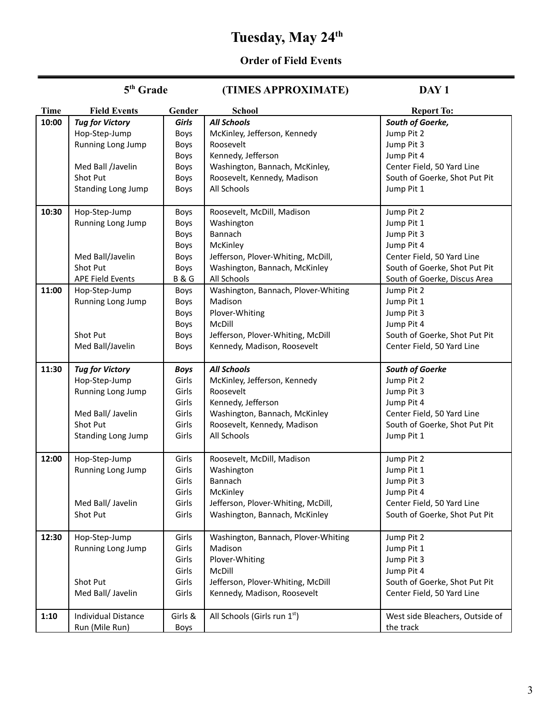# **Tuesday, May 24 th**

#### **Order of Field Events**

#### 5<sup>th</sup> Grade **th Grade (TIMES APPROXIMATE) DAY 1 Time Field Events Gender School Report To: 10:00** *Tug for Victory* Hop-Step-Jump Running Long Jump Med Ball /Javelin Shot Put Standing Long Jump *Girls* Boys Boys Boys Boys Boys Boys *All Schools* McKinley, Jefferson, Kennedy Roosevelt Kennedy, Jefferson Washington, Bannach, McKinley, Roosevelt, Kennedy, Madison All Schools *South of Goerke,* Jump Pit 2 Jump Pit 3 Jump Pit 4 Center Field, 50 Yard Line South of Goerke, Shot Put Pit Jump Pit 1 **10:30** Hop-Step-Jump Running Long Jump Med Ball/Javelin Shot Put APE Field Events Boys Boys Boys Boys Boys Boys B & G Roosevelt, McDill, Madison Washington Bannach **McKinley** Jefferson, Plover-Whiting, McDill, Washington, Bannach, McKinley All Schools Jump Pit 2 Jump Pit 1 Jump Pit 3 Jump Pit 4 Center Field, 50 Yard Line South of Goerke, Shot Put Pit South of Goerke, Discus Area **11:00** Hop-Step-Jump Running Long Jump Shot Put Med Ball/Javelin Boys Boys Boys Boys Boys Boys Washington, Bannach, Plover-Whiting Madison Plover-Whiting McDill Jefferson, Plover-Whiting, McDill Kennedy, Madison, Roosevelt Jump Pit 2 Jump Pit 1 Jump Pit 3 Jump Pit 4 South of Goerke, Shot Put Pit Center Field, 50 Yard Line **11:30** *Tug for Victory* Hop-Step-Jump Running Long Jump Med Ball/ Javelin Shot Put Standing Long Jump *Boys* Girls Girls Girls Girls Girls Girls *All Schools* McKinley, Jefferson, Kennedy Roosevelt Kennedy, Jefferson Washington, Bannach, McKinley Roosevelt, Kennedy, Madison All Schools *South of Goerke* Jump Pit 2 Jump Pit 3 Jump Pit 4 Center Field, 50 Yard Line South of Goerke, Shot Put Pit Jump Pit 1 **12:00** Hop-Step-Jump Running Long Jump Med Ball/ Javelin Shot Put Girls Girls Girls Girls Girls Girls Roosevelt, McDill, Madison **Washington** Bannach McKinley Jefferson, Plover-Whiting, McDill, Washington, Bannach, McKinley Jump Pit 2 Jump Pit 1 Jump Pit 3 Jump Pit 4 Center Field, 50 Yard Line South of Goerke, Shot Put Pit **12:30** Hop-Step-Jump Running Long Jump Shot Put Med Ball/ Javelin Girls Girls Girls Girls Girls Girls Washington, Bannach, Plover-Whiting Madison Plover-Whiting McDill Jefferson, Plover-Whiting, McDill Kennedy, Madison, Roosevelt Jump Pit 2 Jump Pit 1 Jump Pit 3 Jump Pit 4 South of Goerke, Shot Put Pit Center Field, 50 Yard Line 1:10 | Individual Distance Run (Mile Run) Girls & Boys All Schools (Girls run 1 $^{\rm st}$ ) West side Bleachers, Outside of the track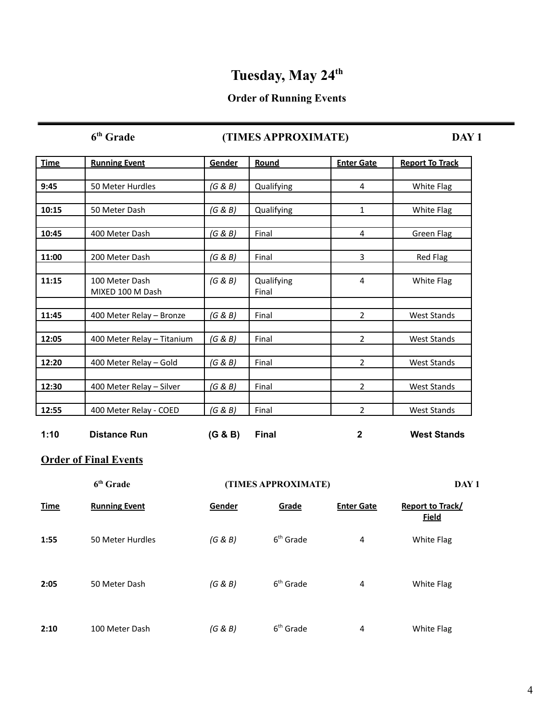# **Tuesday, May 24 th**

## **Order of Running Events**

 $6<sup>th</sup>$  Grade

## **there CTIMES APPROXIMATE DAY 1**

| <b>Time</b> | <b>Running Event</b>               | Gender  | Round               | <b>Enter Gate</b> | <b>Report To Track</b> |
|-------------|------------------------------------|---------|---------------------|-------------------|------------------------|
|             |                                    |         |                     |                   |                        |
| 9:45        | 50 Meter Hurdles                   | (G & B) | Qualifying          | 4                 | White Flag             |
|             |                                    |         |                     |                   |                        |
| 10:15       | 50 Meter Dash                      | (G & B) | Qualifying          | $\mathbf{1}$      | White Flag             |
|             |                                    |         |                     |                   |                        |
| 10:45       | 400 Meter Dash                     | (G & B) | Final               | 4                 | Green Flag             |
| 11:00       | 200 Meter Dash                     | (G & B) | Final               | 3                 | Red Flag               |
|             |                                    |         |                     |                   |                        |
| 11:15       | 100 Meter Dash<br>MIXED 100 M Dash | (G & B) | Qualifying<br>Final | 4                 | White Flag             |
| 11:45       | 400 Meter Relay - Bronze           | (G & B) | Final               | $\overline{2}$    | <b>West Stands</b>     |
| 12:05       | 400 Meter Relay - Titanium         | (G & B) | Final               | $\overline{2}$    | <b>West Stands</b>     |
| 12:20       | 400 Meter Relay - Gold             | (G & B) | Final               | $\overline{2}$    | <b>West Stands</b>     |
| 12:30       | 400 Meter Relay - Silver           | (G & B) | Final               | $\overline{2}$    | <b>West Stands</b>     |
| 12:55       | 400 Meter Relay - COED             | (G & B) | Final               | $\overline{2}$    | <b>West Stands</b>     |
| 1:10        | <b>Distance Run</b>                | (G & B) | <b>Final</b>        | 2                 | <b>West Stands</b>     |

### **Order of Final Events**

|             | 6 <sup>th</sup> Grade |         | (TIMES APPROXIMATE)   |                   | DAY 1                                   |
|-------------|-----------------------|---------|-----------------------|-------------------|-----------------------------------------|
| <b>Time</b> | <b>Running Event</b>  | Gender  | Grade                 | <b>Enter Gate</b> | <b>Report to Track/</b><br><b>Field</b> |
| 1:55        | 50 Meter Hurdles      | (G & B) | $6th$ Grade           | 4                 | White Flag                              |
| 2:05        | 50 Meter Dash         | (G & B) | 6 <sup>th</sup> Grade | 4                 | White Flag                              |
| 2:10        | 100 Meter Dash        | (G & B) | $6th$ Grade           | 4                 | White Flag                              |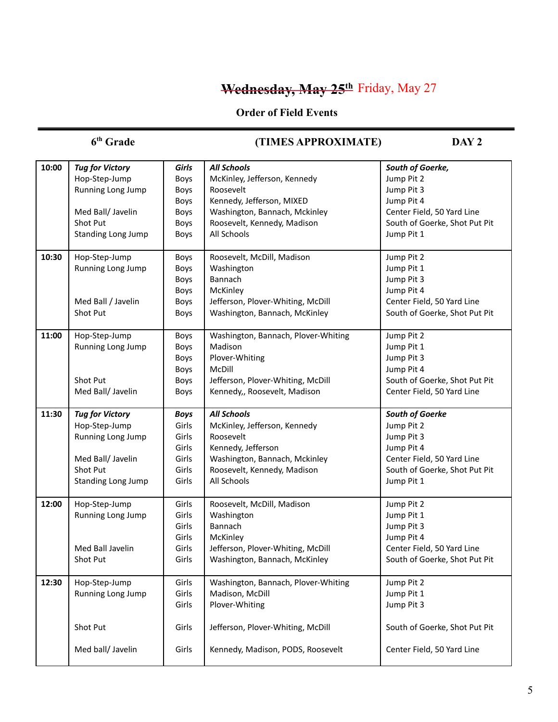# **Wednesday, May 25th** Friday, May 27

## **Order of Field Events**

## $6<sup>th</sup>$  Grade

## **th Grade (TIMES APPROXIMATE) DAY 2**

| 10:00 | <b>Tug for Victory</b>    | Girls       | <b>All Schools</b>                  | South of Goerke,              |
|-------|---------------------------|-------------|-------------------------------------|-------------------------------|
|       | Hop-Step-Jump             | Boys        | McKinley, Jefferson, Kennedy        | Jump Pit 2                    |
|       | Running Long Jump         | Boys        | Roosevelt                           | Jump Pit 3                    |
|       |                           | Boys        | Kennedy, Jefferson, MIXED           | Jump Pit 4                    |
|       | Med Ball/ Javelin         | Boys        | Washington, Bannach, Mckinley       | Center Field, 50 Yard Line    |
|       | Shot Put                  | Boys        | Roosevelt, Kennedy, Madison         | South of Goerke, Shot Put Pit |
|       | <b>Standing Long Jump</b> | Boys        | All Schools                         | Jump Pit 1                    |
|       |                           |             |                                     |                               |
| 10:30 | Hop-Step-Jump             | Boys        | Roosevelt, McDill, Madison          | Jump Pit 2                    |
|       | Running Long Jump         | Boys        | Washington                          | Jump Pit 1                    |
|       |                           | Boys        | Bannach                             | Jump Pit 3                    |
|       |                           | Boys        | McKinley                            | Jump Pit 4                    |
|       | Med Ball / Javelin        | Boys        | Jefferson, Plover-Whiting, McDill   | Center Field, 50 Yard Line    |
|       | Shot Put                  | Boys        | Washington, Bannach, McKinley       | South of Goerke, Shot Put Pit |
|       |                           |             |                                     |                               |
| 11:00 | Hop-Step-Jump             | Boys        | Washington, Bannach, Plover-Whiting | Jump Pit 2                    |
|       | Running Long Jump         | Boys        | Madison                             | Jump Pit 1                    |
|       |                           | Boys        | Plover-Whiting                      | Jump Pit 3                    |
|       |                           | Boys        | McDill                              | Jump Pit 4                    |
|       | Shot Put                  | Boys        | Jefferson, Plover-Whiting, McDill   | South of Goerke, Shot Put Pit |
|       | Med Ball/ Javelin         | Boys        | Kennedy,, Roosevelt, Madison        | Center Field, 50 Yard Line    |
|       |                           |             |                                     |                               |
| 11:30 | <b>Tug for Victory</b>    | <b>Boys</b> | <b>All Schools</b>                  | South of Goerke               |
|       | Hop-Step-Jump             | Girls       | McKinley, Jefferson, Kennedy        | Jump Pit 2                    |
|       | Running Long Jump         | Girls       | Roosevelt                           | Jump Pit 3                    |
|       |                           | Girls       | Kennedy, Jefferson                  | Jump Pit 4                    |
|       | Med Ball/ Javelin         | Girls       | Washington, Bannach, Mckinley       | Center Field, 50 Yard Line    |
|       | Shot Put                  | Girls       | Roosevelt, Kennedy, Madison         | South of Goerke, Shot Put Pit |
|       | Standing Long Jump        | Girls       | All Schools                         | Jump Pit 1                    |
|       |                           |             |                                     |                               |
| 12:00 | Hop-Step-Jump             | Girls       | Roosevelt, McDill, Madison          | Jump Pit 2                    |
|       | Running Long Jump         | Girls       | Washington                          | Jump Pit 1                    |
|       |                           | Girls       | Bannach                             | Jump Pit 3                    |
|       |                           | Girls       | McKinley                            | Jump Pit 4                    |
|       | Med Ball Javelin          | Girls       | Jefferson, Plover-Whiting, McDill   | Center Field, 50 Yard Line    |
|       | Shot Put                  | Girls       | Washington, Bannach, McKinley       | South of Goerke, Shot Put Pit |
| 12:30 | Hop-Step-Jump             | Girls       | Washington, Bannach, Plover-Whiting | Jump Pit 2                    |
|       | Running Long Jump         | Girls       | Madison, McDill                     | Jump Pit 1                    |
|       |                           | Girls       | Plover-Whiting                      | Jump Pit 3                    |
|       |                           |             |                                     |                               |
|       | Shot Put                  | Girls       | Jefferson, Plover-Whiting, McDill   | South of Goerke, Shot Put Pit |
|       |                           |             |                                     |                               |
|       | Med ball/ Javelin         | Girls       | Kennedy, Madison, PODS, Roosevelt   | Center Field, 50 Yard Line    |
|       |                           |             |                                     |                               |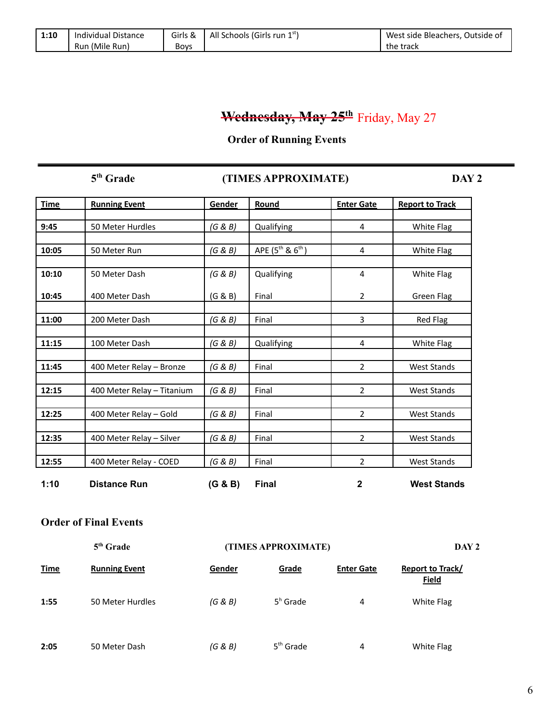| 1:10 | Individual Distance | Girls &     | All Schools (Girls run 1 <sup>st</sup> ) | West side Bleachers, Outside of |
|------|---------------------|-------------|------------------------------------------|---------------------------------|
|      | Run (Mile Run)      | <b>Bovs</b> |                                          | the track                       |

# **Wednesday, May 25th** Friday, May 27

#### **Order of Running Events**

 $5<sup>th</sup>$  Grade

### **th Grade (TIMES APPROXIMATE) DAY 2**

| <b>Time</b> | <b>Running Event</b>       | Gender  | Round                     | <b>Enter Gate</b> | <b>Report to Track</b> |
|-------------|----------------------------|---------|---------------------------|-------------------|------------------------|
|             |                            |         |                           |                   |                        |
| 9:45        | 50 Meter Hurdles           | (G & B) | Qualifying                | 4                 | White Flag             |
|             |                            |         |                           |                   |                        |
| 10:05       | 50 Meter Run               | (G & B) | APE $(5^{th}$ & $6^{th})$ | 4                 | White Flag             |
|             |                            |         |                           |                   |                        |
| 10:10       | 50 Meter Dash              | (G & B) | Qualifying                | 4                 | White Flag             |
| 10:45       | 400 Meter Dash             | (G & B) | Final                     | $\overline{2}$    | Green Flag             |
| 11:00       | 200 Meter Dash             | (G & B) | Final                     | 3                 | Red Flag               |
| 11:15       | 100 Meter Dash             | (G & B) | Qualifying                | 4                 | White Flag             |
|             |                            |         |                           |                   |                        |
| 11:45       | 400 Meter Relay - Bronze   | (G & B) | Final                     | $\overline{2}$    | <b>West Stands</b>     |
|             |                            |         |                           |                   |                        |
| 12:15       | 400 Meter Relay - Titanium | (G & B) | Final                     | $\overline{2}$    | <b>West Stands</b>     |
| 12:25       | 400 Meter Relay - Gold     | (G & B) | Final                     | $\overline{2}$    | <b>West Stands</b>     |
|             |                            |         |                           |                   |                        |
| 12:35       | 400 Meter Relay - Silver   | (G & B) | Final                     | $\overline{2}$    | <b>West Stands</b>     |
| 12:55       | 400 Meter Relay - COED     | (G & B) | Final                     | $\overline{2}$    | West Stands            |
| 1:10        | <b>Distance Run</b>        | (G & B) | <b>Final</b>              | 2                 | <b>West Stands</b>     |

#### **Order of Final Events**

| 5 <sup>th</sup> Grade |                      | (TIMES APPROXIMATE) |             |                   | DAY 2                                   |  |
|-----------------------|----------------------|---------------------|-------------|-------------------|-----------------------------------------|--|
| <b>Time</b>           | <b>Running Event</b> | Gender              | Grade       | <b>Enter Gate</b> | <b>Report to Track/</b><br><b>Field</b> |  |
| 1:55                  | 50 Meter Hurdles     | (G & B)             | $5h$ Grade  | 4                 | White Flag                              |  |
| 2:05                  | 50 Meter Dash        | (G & B)             | $5th$ Grade | 4                 | White Flag                              |  |